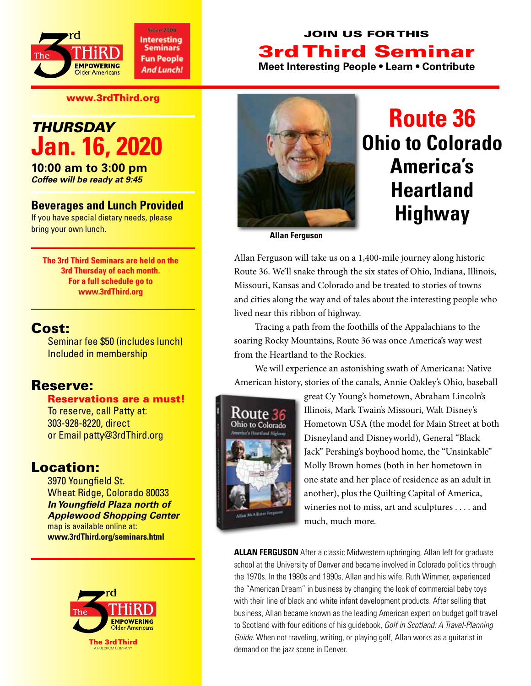

#### www.3rdThird.org

## *Thursday* **Jan. 16, 2020**

**10:00 am to 3:00 pm** *Coffee will be ready at 9:45*

#### **Beverages and Lunch Provided**

If you have special dietary needs, please bring your own lunch.

**The 3rd Third Seminars are held on the 3rd Thursday of each month. For a full schedule go to www.3rdThird.org**

#### Cost:

Seminar fee \$50 (includes lunch) Included in membership

#### Reserve:

Reservations are a must! To reserve, call Patty at: 303-928-8220, direct or Email patty@3rdThird.org

### Location:

3970 Youngfield St. Wheat Ridge, Colorado 80033 *In Youngfield Plaza north of Applewood Shopping Center* map is available online at: **www.3rdThird.org/seminars.html**





## **Route 36 Ohio to Colorado America's Heartland Highway**

**Allan Ferguson**

Allan Ferguson will take us on a 1,400-mile journey along historic Route 36. We'll snake through the six states of Ohio, Indiana, Illinois, Missouri, Kansas and Colorado and be treated to stories of towns and cities along the way and of tales about the interesting people who lived near this ribbon of highway.

Tracing a path from the foothills of the Appalachians to the soaring Rocky Mountains, Route 36 was once America's way west from the Heartland to the Rockies.

We will experience an astonishing swath of Americana: Native American history, stories of the canals, Annie Oakley's Ohio, baseball



great Cy Young's hometown, Abraham Lincoln's Illinois, Mark Twain's Missouri, Walt Disney's Hometown USA (the model for Main Street at both Disneyland and Disneyworld), General "Black Jack" Pershing's boyhood home, the "Unsinkable" Molly Brown homes (both in her hometown in one state and her place of residence as an adult in another), plus the Quilting Capital of America, wineries not to miss, art and sculptures . . . . and much, much more.

**ALLAN FERGUSON** After a classic Midwestern upbringing, Allan left for graduate school at the University of Denver and became involved in Colorado politics through the 1970s. In the 1980s and 1990s, Allan and his wife, Ruth Wimmer, experienced the "American Dream" in business by changing the look of commercial baby toys with their line of black and white infant development products. After selling that business, Allan became known as the leading American expert on budget golf travel to Scotland with four editions of his guidebook, *Golf in Scotland: A Travel-Planning Guide*. When not traveling, writing, or playing golf, Allan works as a guitarist in demand on the jazz scene in Denver.

### Join Us for This 3rd Third Seminar

**Meet Interesting People • Learn • Contribute**